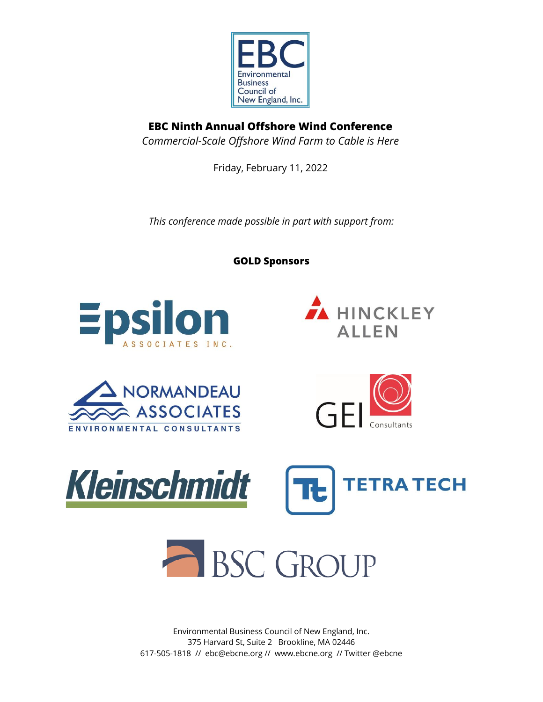

**EBC Ninth Annual Offshore Wind Conference** *Commercial-Scale Offshore Wind Farm to Cable is Here*

Friday, February 11, 2022

*This conference made possible in part with support from:*

**GOLD Sponsors**















Environmental Business Council of New England, Inc. 375 Harvard St, Suite 2 Brookline, MA 02446 617-505-1818 // ebc@ebcne.org // www.ebcne.org // Twitter @ebcne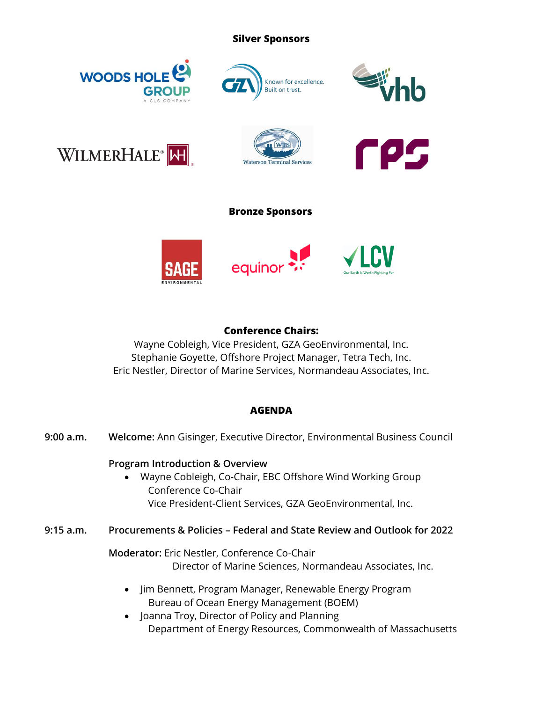## **Silver Sponsors**











# **Bronze Sponsors**



# **Conference Chairs:**

Wayne Cobleigh, Vice President, GZA GeoEnvironmental, Inc. Stephanie Goyette, Offshore Project Manager, Tetra Tech, Inc. Eric Nestler, Director of Marine Services, Normandeau Associates, Inc.

# **AGENDA**

**9:00 a.m. Welcome:** Ann Gisinger, Executive Director, Environmental Business Council

# **Program Introduction & Overview**

- Wayne Cobleigh, Co-Chair, EBC Offshore Wind Working Group Conference Co-Chair Vice President-Client Services, GZA GeoEnvironmental, Inc.
- **9:15 a.m. Procurements & Policies – Federal and State Review and Outlook for 2022**

**Moderator:** Eric Nestler, Conference Co-Chair Director of Marine Sciences, Normandeau Associates, Inc.

- Jim Bennett, Program Manager, Renewable Energy Program Bureau of Ocean Energy Management (BOEM)
- Joanna Troy, Director of Policy and Planning Department of Energy Resources, Commonwealth of Massachusetts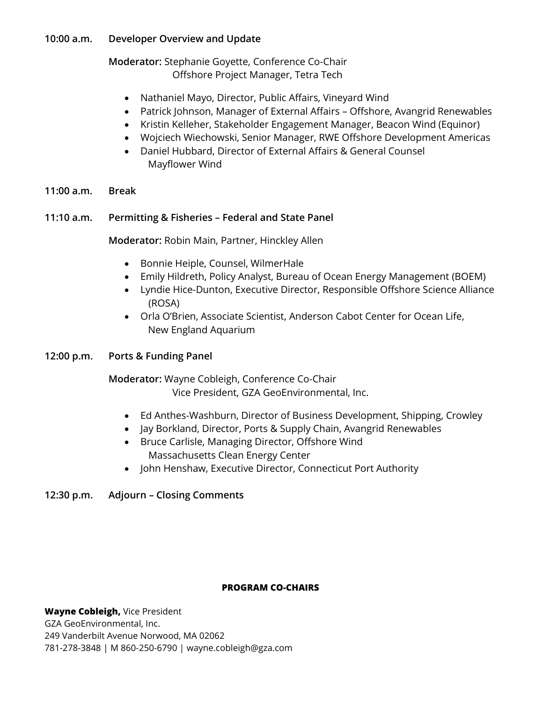# **10:00 a.m. Developer Overview and Update**

**Moderator:** Stephanie Goyette, Conference Co-Chair Offshore Project Manager, Tetra Tech

- Nathaniel Mayo, Director, Public Affairs, Vineyard Wind
- Patrick Johnson, Manager of External Affairs Offshore, Avangrid Renewables
- Kristin Kelleher, Stakeholder Engagement Manager, Beacon Wind (Equinor)
- Wojciech Wiechowski, Senior Manager, RWE Offshore Development Americas
- Daniel Hubbard, Director of External Affairs & General Counsel Mayflower Wind
- **11:00 a.m. Break**

## **11:10 a.m. Permitting & Fisheries – Federal and State Panel**

**Moderator:** Robin Main, Partner, Hinckley Allen

- Bonnie Heiple, Counsel, WilmerHale
- Emily Hildreth, Policy Analyst, Bureau of Ocean Energy Management (BOEM)
- Lyndie Hice-Dunton, Executive Director, Responsible Offshore Science Alliance (ROSA)
- Orla O'Brien, Associate Scientist, Anderson Cabot Center for Ocean Life, New England Aquarium

### **12:00 p.m. Ports & Funding Panel**

**Moderator:** Wayne Cobleigh, Conference Co-Chair Vice President, GZA GeoEnvironmental, Inc.

- Ed Anthes-Washburn, Director of Business Development, Shipping, Crowley
- Jay Borkland, Director, Ports & Supply Chain, Avangrid Renewables
- Bruce Carlisle, Managing Director, Offshore Wind Massachusetts Clean Energy Center
- John Henshaw, Executive Director, Connecticut Port Authority

# **12:30 p.m. Adjourn – Closing Comments**

### **PROGRAM CO-CHAIRS**

**Wayne Cobleigh,** Vice President GZA GeoEnvironmental, Inc. 249 Vanderbilt Avenue Norwood, MA 02062 781-278-3848 | M 860-250-6790 | wayne.cobleigh@gza.com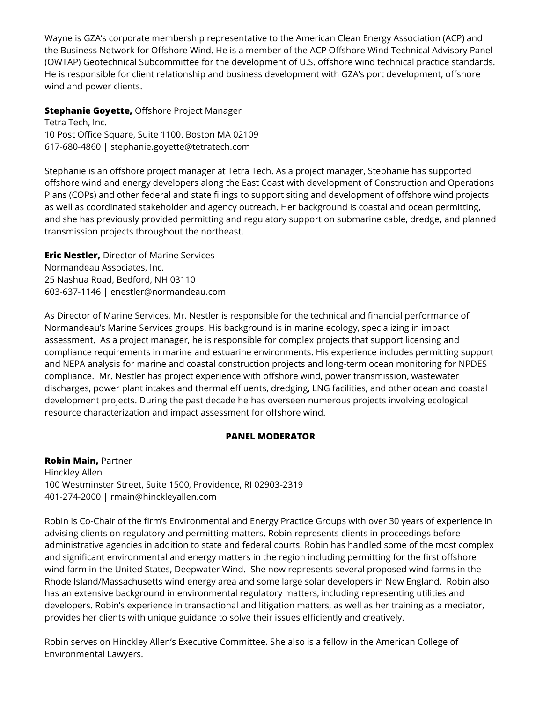Wayne is GZA's corporate membership representative to the American Clean Energy Association (ACP) and the Business Network for Offshore Wind. He is a member of the ACP Offshore Wind Technical Advisory Panel (OWTAP) Geotechnical Subcommittee for the development of U.S. offshore wind technical practice standards. He is responsible for client relationship and business development with GZA's port development, offshore wind and power clients.

**Stephanie Goyette,** Offshore Project Manager Tetra Tech, Inc. 10 Post Office Square, Suite 1100. Boston MA 02109 617-680-4860 | stephanie.goyette@tetratech.com

Stephanie is an offshore project manager at Tetra Tech. As a project manager, Stephanie has supported offshore wind and energy developers along the East Coast with development of Construction and Operations Plans (COPs) and other federal and state filings to support siting and development of offshore wind projects as well as coordinated stakeholder and agency outreach. Her background is coastal and ocean permitting, and she has previously provided permitting and regulatory support on submarine cable, dredge, and planned transmission projects throughout the northeast.

**Eric Nestler,** Director of Marine Services Normandeau Associates, Inc. 25 Nashua Road, Bedford, NH 03110 603-637-1146 | enestler@normandeau.com

As Director of Marine Services, Mr. Nestler is responsible for the technical and financial performance of Normandeau's Marine Services groups. His background is in marine ecology, specializing in impact assessment. As a project manager, he is responsible for complex projects that support licensing and compliance requirements in marine and estuarine environments. His experience includes permitting support and NEPA analysis for marine and coastal construction projects and long-term ocean monitoring for NPDES compliance. Mr. Nestler has project experience with offshore wind, power transmission, wastewater discharges, power plant intakes and thermal effluents, dredging, LNG facilities, and other ocean and coastal development projects. During the past decade he has overseen numerous projects involving ecological resource characterization and impact assessment for offshore wind.

### **PANEL MODERATOR**

**Robin Main,** Partner Hinckley Allen 100 Westminster Street, Suite 1500, Providence, RI 02903-2319 401-274-2000 | rmain@hinckleyallen.com

Robin is Co-Chair of the firm's Environmental and Energy Practice Groups with over 30 years of experience in advising clients on regulatory and permitting matters. Robin represents clients in proceedings before administrative agencies in addition to state and federal courts. Robin has handled some of the most complex and significant environmental and energy matters in the region including permitting for the first offshore wind farm in the United States, Deepwater Wind. She now represents several proposed wind farms in the Rhode Island/Massachusetts wind energy area and some large solar developers in New England. Robin also has an extensive background in environmental regulatory matters, including representing utilities and developers. Robin's experience in transactional and litigation matters, as well as her training as a mediator, provides her clients with unique guidance to solve their issues efficiently and creatively.

Robin serves on Hinckley Allen's Executive Committee. She also is a fellow in the American College of Environmental Lawyers.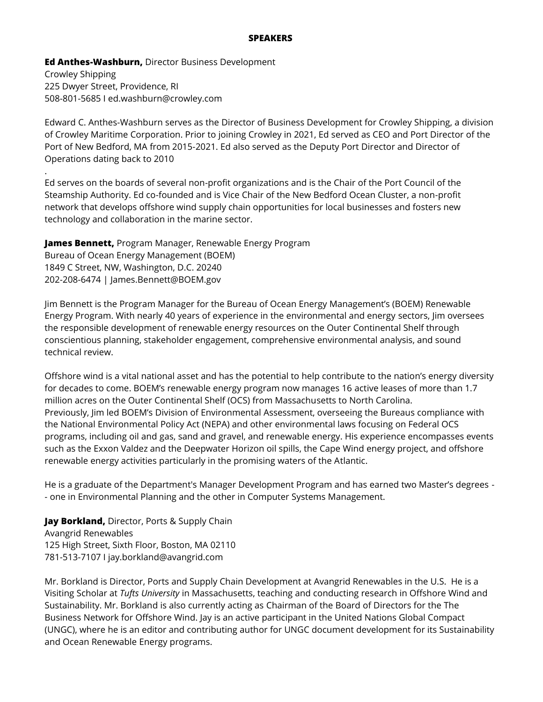#### **SPEAKERS**

**Ed Anthes-Washburn,** Director Business Development Crowley Shipping 225 Dwyer Street, Providence, RI 508-801-5685 I ed.washburn@crowley.com

.

Edward C. Anthes-Washburn serves as the Director of Business Development for Crowley Shipping, a division of Crowley Maritime Corporation. Prior to joining Crowley in 2021, Ed served as CEO and Port Director of the Port of New Bedford, MA from 2015-2021. Ed also served as the Deputy Port Director and Director of Operations dating back to 2010

Ed serves on the boards of several non-profit organizations and is the Chair of the Port Council of the Steamship Authority. Ed co-founded and is Vice Chair of the New Bedford Ocean Cluster, a non-profit network that develops offshore wind supply chain opportunities for local businesses and fosters new technology and collaboration in the marine sector.

**James Bennett,** Program Manager, Renewable Energy Program Bureau of Ocean Energy Management (BOEM) 1849 C Street, NW, Washington, D.C. 20240 202-208-6474 | James.Bennett@BOEM.gov

Jim Bennett is the Program Manager for the Bureau of Ocean Energy Management's (BOEM) Renewable Energy Program. With nearly 40 years of experience in the environmental and energy sectors, Jim oversees the responsible development of renewable energy resources on the Outer Continental Shelf through conscientious planning, stakeholder engagement, comprehensive environmental analysis, and sound technical review.

Offshore wind is a vital national asset and has the potential to help contribute to the nation's energy diversity for decades to come. BOEM's renewable energy program now manages 16 active leases of more than 1.7 million acres on the Outer Continental Shelf (OCS) from Massachusetts to North Carolina. Previously, Jim led BOEM's Division of Environmental Assessment, overseeing the Bureaus compliance with the National Environmental Policy Act (NEPA) and other environmental laws focusing on Federal OCS programs, including oil and gas, sand and gravel, and renewable energy. His experience encompasses events such as the Exxon Valdez and the Deepwater Horizon oil spills, the Cape Wind energy project, and offshore renewable energy activities particularly in the promising waters of the Atlantic.

He is a graduate of the Department's Manager Development Program and has earned two Master's degrees - - one in Environmental Planning and the other in Computer Systems Management.

**Jay Borkland,** Director, Ports & Supply Chain Avangrid Renewables 125 High Street, Sixth Floor, Boston, MA 02110 781-513-7107 I jay.borkland@avangrid.com

Mr. Borkland is Director, Ports and Supply Chain Development at Avangrid Renewables in the U.S. He is a Visiting Scholar at *Tufts University* in Massachusetts, teaching and conducting research in Offshore Wind and Sustainability. Mr. Borkland is also currently acting as Chairman of the Board of Directors for the The Business Network for Offshore Wind. Jay is an active participant in the United Nations Global Compact (UNGC), where he is an editor and contributing author for UNGC document development for its Sustainability and Ocean Renewable Energy programs.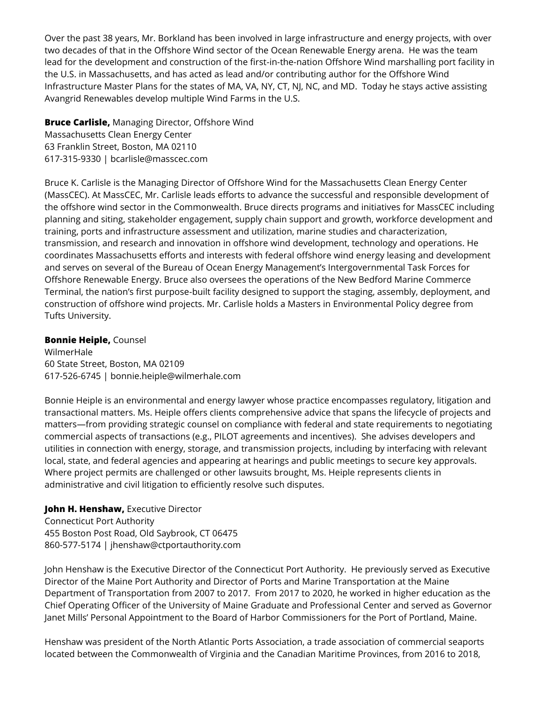Over the past 38 years, Mr. Borkland has been involved in large infrastructure and energy projects, with over two decades of that in the Offshore Wind sector of the Ocean Renewable Energy arena. He was the team lead for the development and construction of the first-in-the-nation Offshore Wind marshalling port facility in the U.S. in Massachusetts, and has acted as lead and/or contributing author for the Offshore Wind Infrastructure Master Plans for the states of MA, VA, NY, CT, NJ, NC, and MD. Today he stays active assisting Avangrid Renewables develop multiple Wind Farms in the U.S.

**Bruce Carlisle,** Managing Director, Offshore Wind Massachusetts Clean Energy Center 63 Franklin Street, Boston, MA 02110 617-315-9330 | bcarlisle@masscec.com

Bruce K. Carlisle is the Managing Director of Offshore Wind for the Massachusetts Clean Energy Center (MassCEC). At MassCEC, Mr. Carlisle leads efforts to advance the successful and responsible development of the offshore wind sector in the Commonwealth. Bruce directs programs and initiatives for MassCEC including planning and siting, stakeholder engagement, supply chain support and growth, workforce development and training, ports and infrastructure assessment and utilization, marine studies and characterization, transmission, and research and innovation in offshore wind development, technology and operations. He coordinates Massachusetts efforts and interests with federal offshore wind energy leasing and development and serves on several of the Bureau of Ocean Energy Management's Intergovernmental Task Forces for Offshore Renewable Energy. Bruce also oversees the operations of the New Bedford Marine Commerce Terminal, the nation's first purpose-built facility designed to support the staging, assembly, deployment, and construction of offshore wind projects. Mr. Carlisle holds a Masters in Environmental Policy degree from Tufts University.

#### **Bonnie Heiple,** Counsel

WilmerHale 60 State Street, Boston, MA 02109 617-526-6745 | bonnie.heiple@wilmerhale.com

Bonnie Heiple is an environmental and energy lawyer whose practice encompasses regulatory, litigation and transactional matters. Ms. Heiple offers clients comprehensive advice that spans the lifecycle of projects and matters—from providing strategic counsel on compliance with federal and state requirements to negotiating commercial aspects of transactions (e.g., PILOT agreements and incentives). She advises developers and utilities in connection with energy, storage, and transmission projects, including by interfacing with relevant local, state, and federal agencies and appearing at hearings and public meetings to secure key approvals. Where project permits are challenged or other lawsuits brought, Ms. Heiple represents clients in administrative and civil litigation to efficiently resolve such disputes.

**John H. Henshaw,** Executive Director Connecticut Port Authority 455 Boston Post Road, Old Saybrook, CT 06475 860-577-5174 | jhenshaw@ctportauthority.com

John Henshaw is the Executive Director of the Connecticut Port Authority. He previously served as Executive Director of the Maine Port Authority and Director of Ports and Marine Transportation at the Maine Department of Transportation from 2007 to 2017. From 2017 to 2020, he worked in higher education as the Chief Operating Officer of the University of Maine Graduate and Professional Center and served as Governor Janet Mills' Personal Appointment to the Board of Harbor Commissioners for the Port of Portland, Maine.

Henshaw was president of the North Atlantic Ports Association, a trade association of commercial seaports located between the Commonwealth of Virginia and the Canadian Maritime Provinces, from 2016 to 2018,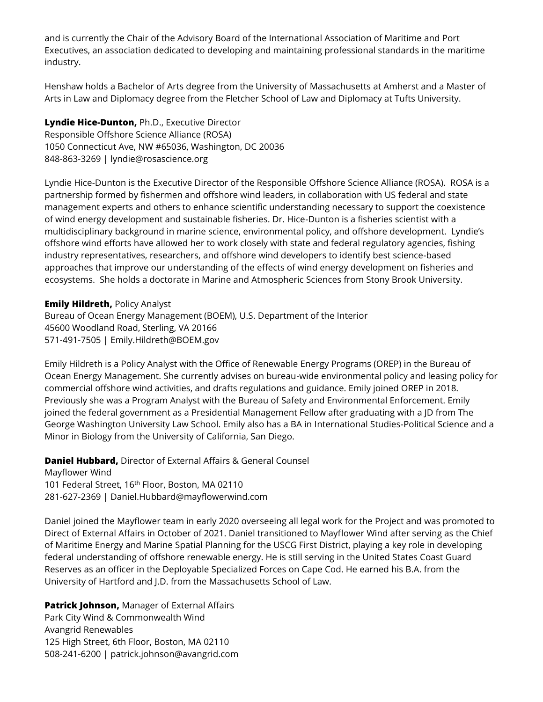and is currently the Chair of the Advisory Board of the International Association of Maritime and Port Executives, an association dedicated to developing and maintaining professional standards in the maritime industry.

Henshaw holds a Bachelor of Arts degree from the University of Massachusetts at Amherst and a Master of Arts in Law and Diplomacy degree from the Fletcher School of Law and Diplomacy at Tufts University.

**Lyndie Hice-Dunton,** Ph.D., Executive Director Responsible Offshore Science Alliance (ROSA) 1050 Connecticut Ave, NW #65036, Washington, DC 20036 848-863-3269 | lyndie@rosascience.org

Lyndie Hice-Dunton is the Executive Director of the Responsible Offshore Science Alliance (ROSA). ROSA is a partnership formed by fishermen and offshore wind leaders, in collaboration with US federal and state management experts and others to enhance scientific understanding necessary to support the coexistence of wind energy development and sustainable fisheries. Dr. Hice-Dunton is a fisheries scientist with a multidisciplinary background in marine science, environmental policy, and offshore development. Lyndie's offshore wind efforts have allowed her to work closely with state and federal regulatory agencies, fishing industry representatives, researchers, and offshore wind developers to identify best science-based approaches that improve our understanding of the effects of wind energy development on fisheries and ecosystems. She holds a doctorate in Marine and Atmospheric Sciences from Stony Brook University.

**Emily Hildreth,** Policy Analyst

Bureau of Ocean Energy Management (BOEM), U.S. Department of the Interior 45600 Woodland Road, Sterling, VA 20166 571-491-7505 | Emily.Hildreth@BOEM.gov

Emily Hildreth is a Policy Analyst with the Office of Renewable Energy Programs (OREP) in the Bureau of Ocean Energy Management. She currently advises on bureau-wide environmental policy and leasing policy for commercial offshore wind activities, and drafts regulations and guidance. Emily joined OREP in 2018. Previously she was a Program Analyst with the Bureau of Safety and Environmental Enforcement. Emily joined the federal government as a Presidential Management Fellow after graduating with a JD from The George Washington University Law School. Emily also has a BA in International Studies-Political Science and a Minor in Biology from the University of California, San Diego.

**Daniel Hubbard,** Director of External Affairs & General Counsel Mayflower Wind 101 Federal Street, 16<sup>th</sup> Floor, Boston, MA 02110 281-627-2369 | Daniel.Hubbard@mayflowerwind.com

Daniel joined the Mayflower team in early 2020 overseeing all legal work for the Project and was promoted to Direct of External Affairs in October of 2021. Daniel transitioned to Mayflower Wind after serving as the Chief of Maritime Energy and Marine Spatial Planning for the USCG First District, playing a key role in developing federal understanding of offshore renewable energy. He is still serving in the United States Coast Guard Reserves as an officer in the Deployable Specialized Forces on Cape Cod. He earned his B.A. from the University of Hartford and J.D. from the Massachusetts School of Law.

### **Patrick Johnson,** Manager of External Affairs

Park City Wind & Commonwealth Wind Avangrid Renewables 125 High Street, 6th Floor, Boston, MA 02110 508-241-6200 | patrick.johnson@avangrid.com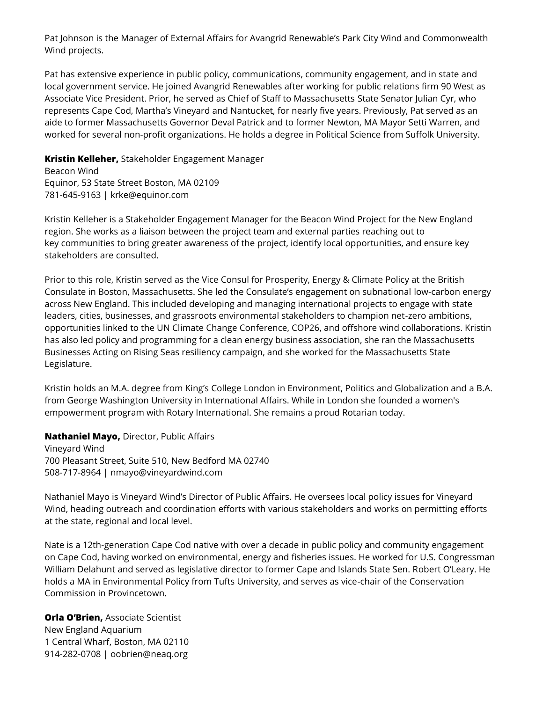Pat Johnson is the Manager of External Affairs for Avangrid Renewable's Park City Wind and Commonwealth Wind projects.

Pat has extensive experience in public policy, communications, community engagement, and in state and local government service. He joined Avangrid Renewables after working for public relations firm 90 West as Associate Vice President. Prior, he served as Chief of Staff to Massachusetts State Senator Julian Cyr, who represents Cape Cod, Martha's Vineyard and Nantucket, for nearly five years. Previously, Pat served as an aide to former Massachusetts Governor Deval Patrick and to former Newton, MA Mayor Setti Warren, and worked for several non-profit organizations. He holds a degree in Political Science from Suffolk University.

#### **Kristin Kelleher,** Stakeholder Engagement Manager

Beacon Wind Equinor, 53 State Street Boston, MA 02109 781-645-9163 | krke@equinor.com

Kristin Kelleher is a Stakeholder Engagement Manager for the Beacon Wind Project for the New England region. She works as a liaison between the project team and external parties reaching out to key communities to bring greater awareness of the project, identify local opportunities, and ensure key stakeholders are consulted.

Prior to this role, Kristin served as the Vice Consul for Prosperity, Energy & Climate Policy at the British Consulate in Boston, Massachusetts. She led the Consulate's engagement on subnational low-carbon energy across New England. This included developing and managing international projects to engage with state leaders, cities, businesses, and grassroots environmental stakeholders to champion net-zero ambitions, opportunities linked to the UN Climate Change Conference, COP26, and offshore wind collaborations. Kristin has also led policy and programming for a clean energy business association, she ran the Massachusetts Businesses Acting on Rising Seas resiliency campaign, and she worked for the Massachusetts State Legislature.

Kristin holds an M.A. degree from King's College London in Environment, Politics and Globalization and a B.A. from George Washington University in International Affairs. While in London she founded a women's empowerment program with Rotary International. She remains a proud Rotarian today.

**Nathaniel Mayo,** Director, Public Affairs

Vineyard Wind 700 Pleasant Street, Suite 510, New Bedford MA 02740 508-717-8964 | nmayo@vineyardwind.com

Nathaniel Mayo is Vineyard Wind's Director of Public Affairs. He oversees local policy issues for Vineyard Wind, heading outreach and coordination efforts with various stakeholders and works on permitting efforts at the state, regional and local level.

Nate is a 12th-generation Cape Cod native with over a decade in public policy and community engagement on Cape Cod, having worked on environmental, energy and fisheries issues. He worked for U.S. Congressman William Delahunt and served as legislative director to former Cape and Islands State Sen. Robert O'Leary. He holds a MA in Environmental Policy from Tufts University, and serves as vice-chair of the Conservation Commission in Provincetown.

**Orla O'Brien,** Associate Scientist New England Aquarium 1 Central Wharf, Boston, MA 02110 914-282-0708 | oobrien@neaq.org